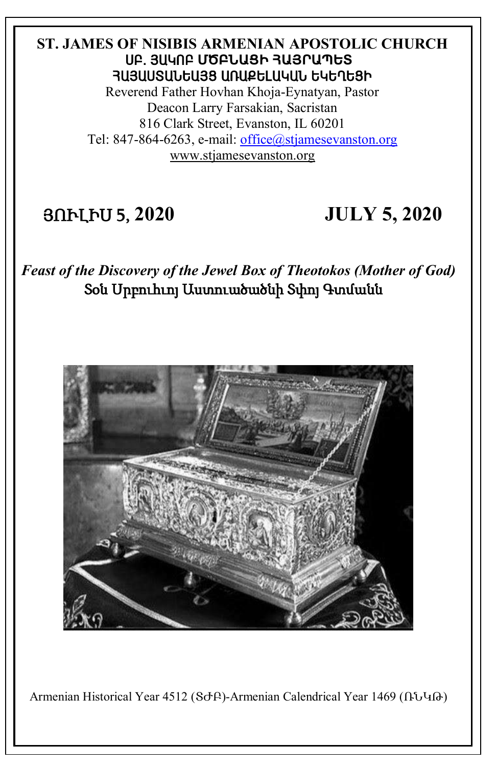#### **ST. JAMES OF NISIBIS ARMENIAN APOSTOLIC CHURCH** ê´. Ú²Îà´ **ՄԾԲՆԱՑԻ ՀԱՅՐԱՊԵՏ** ՅԱՅԱՍՏԱՆԵԱՅՑ ԱՌԱՔԵԼԱԿԱՆ ԵԿԵՂԵՑԻ

Reverend Father Hovhan Khoja-Eynatyan, Pastor Deacon Larry Farsakian, Sacristan 816 Clark Street, Evanston, IL 60201 Tel: 847-864-6263, e-mail: [office@stjamesevanston.org](mailto:office@stjamesevanston.org) [www.stjamesevanston.org](http://www.stjamesevanston.org/)

## ՅՈՒԼԻՍ 5, **2020 JULY 5, 2020**

*Feast of the Discovery of the Jewel Box of Theotokos (Mother of God)* Տօն Սրբուհւոյ Աստուածածնի Տփոյ Գտմանն



Armenian Historical Year 4512 (ՏԺԲ)-Armenian Calendrical Year 1469 (ՌՆԿԹ)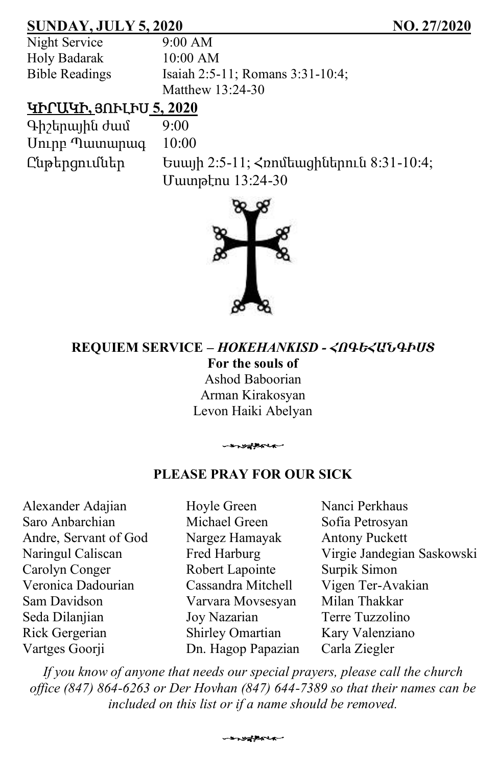## **SUNDAY, JULY 5, 2020 NO. 27/2020**

Night Service 9:00 AM Holy Badarak 10:00 AM

Bible Readings Isaiah 2:5-11; Romans 3:31-10:4; Matthew 13:24-30

## ԿԻՐԱԿԻ**,** ՅՈՒԼԻՍ **5, 2020**

Գիշերային ժամ 9:00 Սուրբ Պատարագ 10:00

Ընթերցումներ Եսայի 2:5-11; Հռոմեացիներուն 8:31-10:4; Մատթէոս 13:24-30



#### **REQUIEM SERVICE –** *HOKEHANKISD - ՀՈԳԵՀԱՆԳԻՍՏ* **For the souls of**  Ashod Baboorian Arman Kirakosyan Levon Haiki Abelyan

#### **PLEASE PRAY FOR OUR SICK**

-systemen

Alexander Adajian Saro Anbarchian Andre, Servant of God Naringul Caliscan Carolyn Conger Veronica Dadourian Sam Davidson Seda Dilanjian Rick Gergerian Vartges Goorji

Hoyle Green Michael Green Nargez Hamayak Fred Harburg Robert Lapointe Cassandra Mitchell Varvara Movsesyan Joy Nazarian Shirley Omartian Dn. Hagop Papazian

Nanci Perkhaus Sofia Petrosyan Antony Puckett Virgie Jandegian Saskowski Surpik Simon Vigen Ter-Avakian Milan Thakkar Terre Tuzzolino Kary Valenziano Carla Ziegler

*If you know of anyone that needs our special prayers, please call the church office (847) 864-6263 or Der Hovhan (847) 644-7389 so that their names can be included on this list or if a name should be removed.*

s valent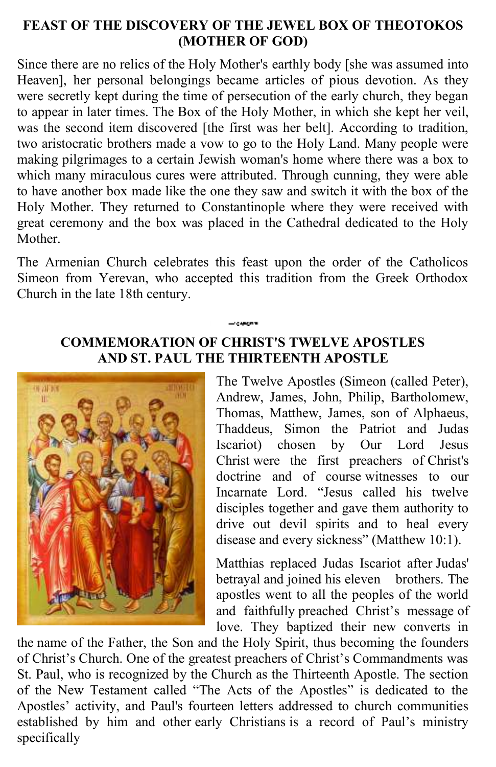#### **FEAST OF THE DISCOVERY OF THE JEWEL BOX OF THEOTOKOS (MOTHER OF GOD)**

Since there are no relics of the Holy Mother's earthly body [she was assumed into Heaven], her personal belongings became articles of pious devotion. As they were secretly kept during the time of persecution of the early church, they began to appear in later times. The Box of the Holy Mother, in which she kept her veil, was the second item discovered [the first was her belt]. According to tradition, two aristocratic brothers made a vow to go to the Holy Land. Many people were making pilgrimages to a certain Jewish woman's home where there was a box to which many miraculous cures were attributed. Through cunning, they were able to have another box made like the one they saw and switch it with the box of the Holy Mother. They returned to Constantinople where they were received with great ceremony and the box was placed in the Cathedral dedicated to the Holy Mother.

The Armenian Church celebrates this feast upon the order of the Catholicos Simeon from Yerevan, who accepted this tradition from the Greek Orthodox Church in the late 18th century.

#### **COMMEMORATION OF CHRIST'S TWELVE APOSTLES AND ST. PAUL THE THIRTEENTH APOSTLE**



The Twelve Apostles (Simeon (called Peter), Andrew, James, John, Philip, Bartholomew, Thomas, Matthew, James, son of Alphaeus, Thaddeus, Simon the Patriot and Judas Iscariot) chosen by Our Lord Jesus Christ were the first preachers of Christ's doctrine and of course witnesses to our Incarnate Lord. "Jesus called his twelve disciples together and gave them authority to drive out devil spirits and to heal every disease and every sickness" (Matthew 10:1).

Matthias replaced Judas Iscariot after Judas' betrayal and joined his eleven brothers. The apostles went to all the peoples of the world and faithfully preached Christ's message of love. They baptized their new converts in

the name of the Father, the Son and the Holy Spirit, thus becoming the founders of Christ's Church. One of the greatest preachers of Christ's Commandments was St. Paul, who is recognized by the Church as the Thirteenth Apostle. The section of the New Testament called "The Acts of the Apostles" is dedicated to the Apostles' activity, and Paul's fourteen letters addressed to church communities established by him and other early Christians is a record of Paul's ministry specifically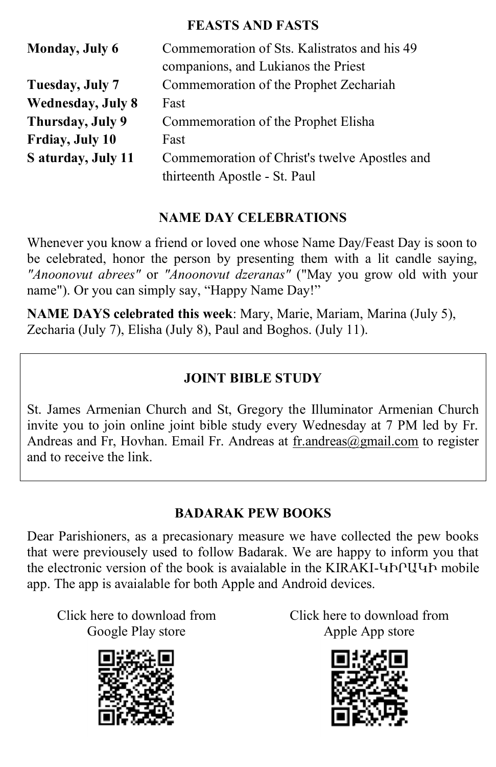#### **FEASTS AND FASTS**

| <b>Monday</b> , July 6   | Commemoration of Sts. Kalistratos and his 49  |  |  |
|--------------------------|-----------------------------------------------|--|--|
|                          | companions, and Lukianos the Priest           |  |  |
| Tuesday, July 7          | Commemoration of the Prophet Zechariah        |  |  |
| <b>Wednesday, July 8</b> | Fast                                          |  |  |
| Thursday, July 9         | Commemoration of the Prophet Elisha           |  |  |
| Frdiay, July 10          | Fast                                          |  |  |
| S aturday, July 11       | Commemoration of Christ's twelve Apostles and |  |  |
|                          | thirteenth Apostle - St. Paul                 |  |  |

## **NAME DAY CELEBRATIONS**

Whenever you know a friend or loved one whose Name Day/Feast Day is soon to be celebrated, honor the person by presenting them with a lit candle saying, *"Anoonovut abrees"* or *"Anoonovut dzeranas"* ("May you grow old with your name"). Or you can simply say, "Happy Name Day!"

**NAME DAYS celebrated this week**: Mary, Marie, Mariam, Marina (July 5), Zecharia (July 7), Elisha (July 8), Paul and Boghos. (July 11).

## **JOINT BIBLE STUDY**

St. James Armenian Church and St, Gregory the Illuminator Armenian Church invite you to join online joint bible study every Wednesday at 7 PM led by Fr. Andreas and Fr, Hovhan. Email Fr. Andreas at [fr.andreas@gmail.com](mailto:fr.andreas@gmail.com) to register and to receive the link.

## **BADARAK PEW BOOKS**

Dear Parishioners, as a precasionary measure we have collected the pew books that were previousely used to follow Badarak. We are happy to inform you that the electronic version of the book is avaialable in the KIRAKI-ԿԻՐԱԿԻ mobile app. The app is avaialable for both Apple and Android devices.

Click here to download from Google Play store



Click here to download from Apple App store

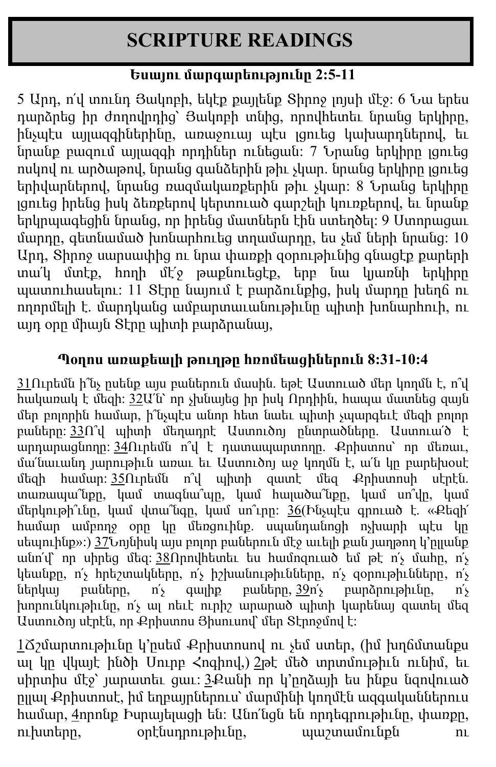# **SCRIPTURE READINGS**

## **Եսայու մարգարեությունը 2:5-11**

5 Արդ, ո՛վ տունդ Յակոբի, եկէք քայլենք Տիրոջ լոյսի մէջ: 6 Նա երես դարձրեց իր ժողովրդից՝ Յակոբի տնից, որովհետեւ նրանց երկիրը, ինչպէս այլազգիներինը, առաջուայ պէս լցուեց կախարդներով, եւ նրանք բազում այլազգի որդիներ ունեցան: 7 Նրանց երկիրը լցուեց ոսկով ու արծաթով, նրանց գանձերին թիւ չկար. նրանց երկիրը լցուեց երիվարներով, նրանց ռազմակառքերին թիւ չկար: 8 Նրանց երկիրը լցուեց իրենց իսկ ձեռքերով կերտուած գարշելի կուռքերով, եւ նրանք երկրպագեցին նրանց, որ իրենց մատներն էին ստեղծել: 9 Ստորացաւ մարդը, գետնամած խոնարհուեց տղամարդը, ես չեմ ների նրանց: 10 Արդ, Տիրոջ սարսափից ու նրա փառքի զօրութիւնից գնացէք քարերի տա՛կ մտէք, հողի մէ՛ջ թաքնուեցէք, երբ նա կյառնի երկիրը պատուհասելու: 11 Տէրը նայում է բարձունքից, իսկ մարդը խեղճ ու ողորմելի է. մարդկանց ամբարտաւանութիւնը պիտի խոնարհուի, ու այդ օրը միայն Տէրը պիտի բարձրանայ,

## **Պoղոս առաքեալի թուղթը հռոմեացիներուն 8:31-10:4**

 $31$ Ուրեմն ի՞նչ ըսենք այս բաներուն մասին. եթէ Աստուած մեր կողմն է, ո՞վ հակառակ է մեզի: [32](http://biblehub.com/romans/8-32.htm)Ա՛ն՝ որ չխնայեց իր իսկ Որդիին, հապա մատնեց զայն մեր բոլորին համար, ի՞նչպէս անոր հետ նաեւ պիտի չպարգեւէ մեզի բոլոր բաները: [33](http://biblehub.com/romans/8-33.htm)Ո՞վ պիտի մեղադրէ Աստուծոյ ընտրածները. Աստուա՛ծ է արդարացնողը: [34](http://biblehub.com/romans/8-34.htm)Ուրեմն ո՞վ է դատապարտողը. Քրիստոս՝ որ մեռաւ, մա՛նաւանդ յարութիւն առաւ եւ Աստուծոյ աջ կողմն է, ա՛ն կը բարեխօսէ մեզի համար: [35](http://biblehub.com/romans/8-35.htm)Ուրեմն ո՞վ պիտի զատէ մեզ Քրիստոսի սէրէն. տառապա՞նքը, կամ տագնա՞պը, կամ հալածա՞նքը, կամ սո՞վը, կամ մերկութի՞ւնը, կամ վտա՞նգը, կամ սո՞ւրը: [36](http://biblehub.com/romans/8-36.htm)(Ինչպէս գրուած է. «Քեզի՛ համար ամբողջ օրը կը մեռցուինք. սպանդանոցի ոչխարի պէս կը uեպուինք»:) [37](http://biblehub.com/romans/8-37.htm)Նոյնիսկ այս բոլոր բաներուն մէջ աւելի քան յաղթող կ'րլլանք անո՛վ՝ որ սիրեց մեզ: [38](http://biblehub.com/romans/8-38.htm)Որովհետեւ ես համոզուած եմ թէ ո՛չ մահը, ո՛չ կեանքը, ո՛չ հրեշտակները, ո՛չ իշխանութիւնները, ո՛չ զօրութիւնները, ո՛չ ներկայ բաները, ո՛չ գայիք բաները,  $\frac{39}{1}$  $\frac{39}{1}$  $\frac{39}{1}$  բարձրութիւնը, ո՛չ խորունկութիւնը, ո՛չ ալ ոեւէ ուրիշ արարած պիտի կարենայ զատել մեզ Աստուծոյ սէրէն, որ Քրիստոս Յիսուսով՝ մեր Տէրոջմով է:

 $1$ Ճշմարտութիւնը կ'ըսեմ Քրիստոսով ու չեմ ստեր, (իմ խղճմտանքս ալ կը վկայէ ինծի Սուրբ Հոգիով,) [2](http://biblehub.com/romans/9-2.htm)թէ մեծ տրտմութիւն ունիմ, եւ սիրտիս մէջ՝ յարատեւ ցաւ: [3](http://biblehub.com/romans/9-3.htm)Քանի որ կ՚ըղձայի ես ինքս նզովուած ըլլալ Քրիստոսէ, իմ եղբայրներուս՝ մարմինի կողմէն ազգականներուս համար, [4](http://biblehub.com/romans/9-4.htm)որոնք Իսրայելացի են: Անո՛նցն են որդեգրութիւնը, փառքը, ուխտերը, օրէնսդրութիւնը, պաշտամունքն ու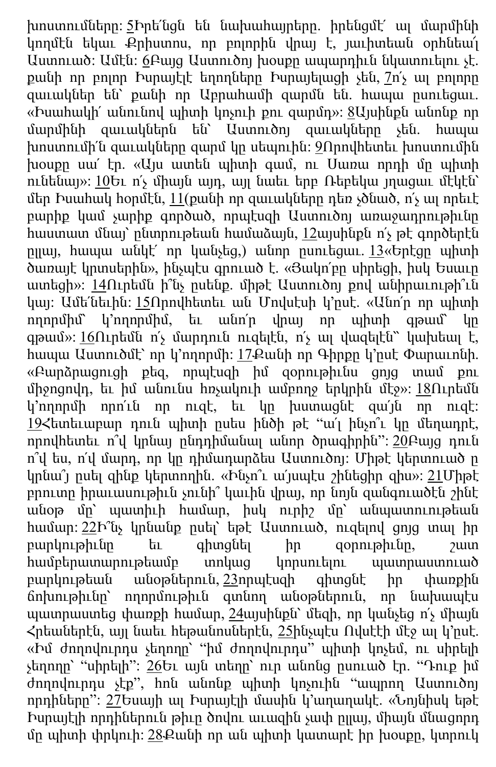խոստումները: [5](http://biblehub.com/romans/9-5.htm)Իրե՛նցն են նախահայրերը. իրենցմէ՛ ալ մարմինի կողմէն եկաւ Քրիստոս, որ բոլորին վրայ է, յաւիտեան օրհնեա՜լ Աստուած: Ամէն: [6](http://biblehub.com/romans/9-6.htm)Բայց Աստուծոյ խօսքը ապարդիւն նկատուելու չէ. քանի որ բոլոր Իսրայէլէ եղողները Իսրայելացի չեն, [7](http://biblehub.com/romans/9-7.htm)ո՛չ ալ բոլորը զաւակներ են՝ քանի որ Աբրահամի զարմն են. հապա ըսուեցաւ. «Իսահակի՛ անունով պիտի կոչուի քու զարմդ»: [8](http://biblehub.com/romans/9-8.htm)Այսինքն անոնք որ մարմինի զաւակներն են՝ Աստուծոյ զաւակները չեն. հապա խոստումի՛ն զաւակները զարմ կը սեպուին: [9](http://biblehub.com/romans/9-9.htm)Որովհետեւ խոստումին խօսքը սա՛ էր. «Այս ատեն պիտի գամ, ու Սառա որդի մը պիտի ունենայ»: [10](http://biblehub.com/romans/9-10.htm)Եւ ո՛չ միայն այդ, այլ նաեւ երբ Ռեբեկա յղացաւ մէկէն՝ մեր Իսահակ հօրմէն, [11](http://biblehub.com/romans/9-11.htm)(քանի որ զաւակները դեռ չծնած, ո՛չ ալ որեւէ բարիք կամ չարիք գործած, որպէսզի Աստուծոյ առաջադրութիւնը հաստատ մնայ՝ ընտրութեան համաձայն, [12](http://biblehub.com/romans/9-12.htm)այսինքն ո՛չ թէ գործերէն ըլլայ, հապա անկէ՛ որ կանչեց,) անոր ըսուեցաւ. [13](http://biblehub.com/romans/9-13.htm)«Երէցը պիտի ծառայէ կրտսերին», ինչպէս գրուած է. «Յակո՛բը սիրեցի, իսկ Եսաւը ատեցի»: [14](http://biblehub.com/romans/9-14.htm)Ուրեմն ի՞նչ ըսենք. միթէ Աստուծոյ քով անիրաւութի՞ւն կայ: Ամե՛նեւին: [15](http://biblehub.com/romans/9-15.htm)Որովհետեւ ան Մովսէսի կ՚ըսէ. «Անո՛ր որ պիտի ողորմիմ՝ կ՚ողորմիմ, եւ անո՛ր վրայ որ պիտի գթամ՝ կը գթամ»: [16](http://biblehub.com/romans/9-16.htm)Ուրեմն ո՛չ մարդուն ուզելէն, ո՛չ ալ վազելէն՝՝ կախեալ է, հապա Աստուծմէ՝ որ կ՚ողորմի: [17](http://biblehub.com/romans/9-17.htm)Քանի որ Գիրքը կ՚ըսէ Փարաւոնի. «Բարձրացուցի քեզ, որպէսզի իմ զօրութիւնս ցոյց տամ քու միջոցովդ, եւ իմ անունս հռչակուի ամբողջ երկրին մէջ»: [18](http://biblehub.com/romans/9-18.htm)Ուրեմն կ՚ողորմի որո՛ւն որ ուզէ, եւ կը խստացնէ զա՛յն որ ուզէ: [19](http://biblehub.com/romans/9-19.htm)Հետեւաբար դուն պիտի ըսես ինծի թէ "ա՛լ ինչո՞ւ կը մեղադրէ, որովհետեւ ո՞վ կրնայ ընդդիմանալ անոր ծրագիրին": [20](http://biblehub.com/romans/9-20.htm)Բայց դուն ո՞վ ես, ո՛վ մարդ, որ կը դիմադարձես Աստուծոյ: Միթէ կերտուած ը կրնա՞յ ըսել զինք կերտողին. «Ինչո՞ւ ա՛յսպէս շինեցիր զիս»: [21](http://biblehub.com/romans/9-21.htm)Միթէ բրուտը իրաւասութիւն չունի՞ կաւին վրայ, որ նոյն զանգուածէն շինէ անօթ մը՝ պատիւի համար, իսկ ուրիշ մը՝ անպատուութեան համար: [22](http://biblehub.com/romans/9-22.htm)Ի՞նչ կրնանք ըսել՝ եթէ Աստուած, ուզելով ցոյց տալ իր բարկութիւնը եւ գիտցնել իր զօրութիւնը, շատ համբերատարութեամբ տոկաց կորսուելու պատրաստուած բարկութեան անօթներուն, [23](http://biblehub.com/romans/9-23.htm)որպէսզի գիտցնէ իր փառքին ճոխութիւնը՝ ողորմութիւն գտնող անօթներուն, որ նախապէս պատրաստեց փառքի համար, [24](http://biblehub.com/romans/9-24.htm)այսինքն՝ մեզի, որ կանչեց ո՛չ միայն Հրեաներէն, այլ նաեւ հեթանոսներէն, [25](http://biblehub.com/romans/9-25.htm)ինչպէս Ովսէէի մէջ ալ կ՚ըսէ. «Իմ ժողովուրդս չեղողը՝ "իմ ժողովուրդս" պիտի կոչեմ, ու սիրելի չեղողը՝ "սիրելի": [26](http://biblehub.com/romans/9-26.htm)Եւ այն տեղը՝ ուր անոնց ըսուած էր. "Դութ իմ ժողովուրդս չէք", հոն անոնք պիտի կոչուին "ապրող Աստուծոյ որդիները": [27](http://biblehub.com/romans/9-27.htm)Եսայի ալ Իսրայէլի մասին կ՚աղաղակէ. «Նոյնիսկ եթէ Իսրայէլի որդիներուն թիւը ծովու աւազին չափ ըլլայ, միայն մնացորդ մը պիտի փրկուի: [28](http://biblehub.com/romans/9-28.htm) Քանի որ ան պիտի կատարէ իր խօսքը, կտրուկ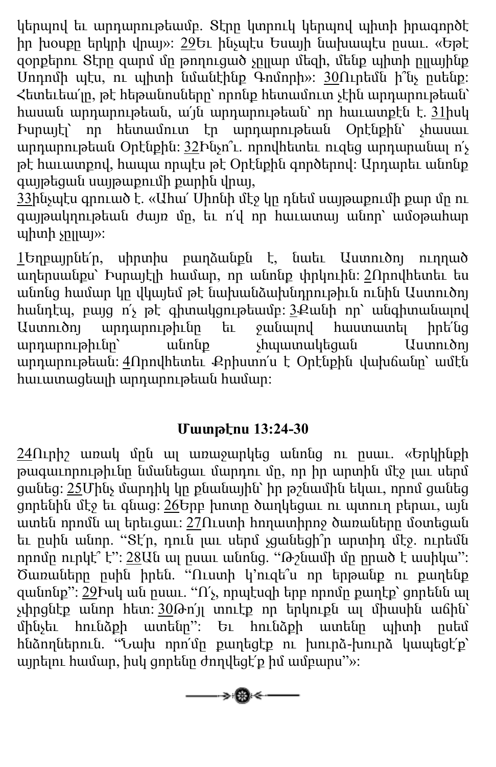կերպով եւ արդարութեամբ. Տէրը կտրուկ կերպով պիտի իրագործէ իր խօսքը երկրի վրայ»: [29](http://biblehub.com/romans/9-29.htm)Եւ ինչպէս Եսայի նախապէս ըսաւ. «Եթէ զօրքերու Տէրը զարմ մը թողուցած չըլլար մեզի, մենք պիտի ըլլայինք Սոդոմի պէս, ու պիտի նմանէինք Գոմորի»: [30](http://biblehub.com/romans/9-30.htm)Ուրեմն ի՞նչ ըսենք: Հետեւեա՛լը, թէ հեթանոսները՝ որոնք հետամուտ չէին արդարութեան՝ հասան արդարութեան, ա՛յն արդարութեան՝ որ հաւատքէն է. [31](http://biblehub.com/romans/9-31.htm)իսկ Իսրայէլ՝ որ հետամուտ էր արդարութեան Օրէնքին՝ չհասաւ արդարութեան Օրէնքին: [32](http://biblehub.com/romans/9-32.htm)Ինչո՞ւ. որովհետեւ ուզեց արդարանալ ո՛չ թէ հաւատքով, հապա որպէս թէ Օրէնքին գործերով: Արդարեւ անոնք գայթեցան սայթաքումի քարին վրայ,

[33](http://biblehub.com/romans/9-33.htm)ինչպէս գրուած է. «Ահա՛ Սիոնի մէջ կը դնեմ սայթաքումի քար մը ու գայթակղութեան ժայռ մը, եւ ո՛վ որ հաւատայ անոր՝ ամօթահար  $up$ այի չու

[1](http://biblehub.com/romans/10-1.htm)Եղբայրնե՛ր, սիրտիս բաղձանքն է, նաեւ Աստուծոյ ուղղած աղերսանքս՝ Իսրայէլի համար, որ անոնք փրկուին: [2](http://biblehub.com/romans/10-2.htm)Որովհետեւ ես անոնց համար կը վկայեմ թէ նախանձախնդրութիւն ունին Աստուծոյ հանդէպ, բայց ո՛չ թէ գիտակցութեամբ: [3](http://biblehub.com/romans/10-3.htm)Քանի որ՝ անգիտանալով Աստուծոյ արդարութիւնը եւ ջանալով հաստատել իրե՛նց արդարութիւնը՝ անոնք չհպատակեցան Աստուծոյ արդարութեան: [4](http://biblehub.com/romans/10-4.htm)Որովհետեւ Քրիստո՛ս է Օրէնքին վախճանը՝ ամէն հաւատացեալի արդարութեան համար:

## **Մատթէոս 13:24-30**

 $24$ Ուրիշ առակ մըն ալ առաջարկեց անոնց ու ըսաւ. «Երկինքի թագաւորութիւնը նմանեցաւ մարդու մը, որ իր արտին մէջ լաւ սերմ ցանեց: [25](http://biblehub.com/matthew/13-25.htm)Մինչ մարդիկ կը քնանային՝ իր թշնամին եկաւ, որոմ ցանեց ցորենին մէջ եւ գնաց: [26](http://biblehub.com/matthew/13-26.htm)Երբ խոտը ծաղկեցաւ ու պտուղ բերաւ, այն ատեն որոմն ալ երեւցաւ: [27](http://biblehub.com/matthew/13-27.htm)Ուստի հողատիրոջ ծառաները մօտեցան եւ ըսին անոր. "Տէ՛ր, դուն լաւ սերմ չցանեցի՞ր արտիդ մէջ. ուրեմն որոմը ուրկէ՞ է": [28](http://biblehub.com/matthew/13-28.htm)Ան ալ ըսաւ անոնց. "Թշնամի մը ըրած է ասիկա": Ծառաները ըսին իրեն. "Ուստի կ՚ուզե՞ս որ երթանք ու քաղենք զանոնք":  $29$ Խսկ ան ըսաւ. "Ո՛չ, որպէսզի երբ որոմը քաղէք՝ ցորենն ալ չփրցնէք անոր հետ: [30](http://biblehub.com/matthew/13-30.htm)Թո՛յլ տուէք որ երկուքն ալ միասին աճին՝ մինչեւ հունձքի ատենը": Եւ հունձքի ատենը պիտի ըսեմ հնձողներուն. "Նախ որո՛մը քաղեցէք ու խուրձ-խուրձ կապեցէ՛ք՝ այրելու համար, իսկ ցորենը ժողվեցէ՛ք իմ ամբարս"»:

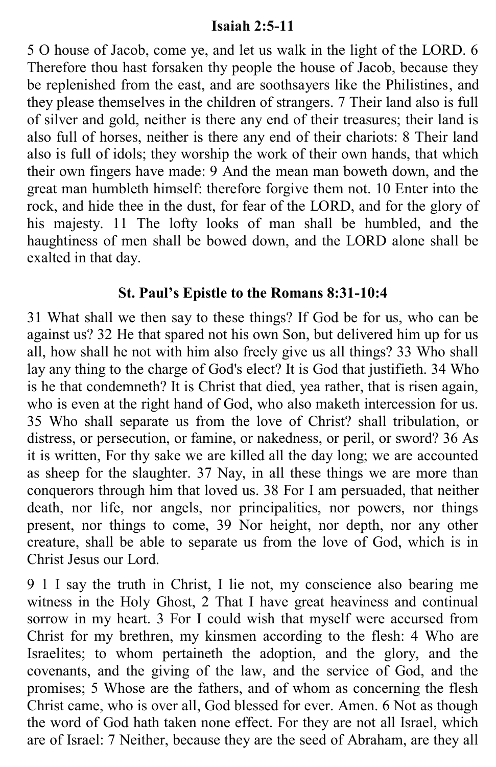#### **Isaiah 2:5-11**

5 O house of Jacob, come ye, and let us walk in the light of the LORD. 6 Therefore thou hast forsaken thy people the house of Jacob, because they be replenished from the east, and are soothsayers like the Philistines, and they please themselves in the children of strangers. 7 Their land also is full of silver and gold, neither is there any end of their treasures; their land is also full of horses, neither is there any end of their chariots: 8 Their land also is full of idols; they worship the work of their own hands, that which their own fingers have made: 9 And the mean man boweth down, and the great man humbleth himself: therefore forgive them not. 10 Enter into the rock, and hide thee in the dust, for fear of the LORD, and for the glory of his majesty. 11 The lofty looks of man shall be humbled, and the haughtiness of men shall be bowed down, and the LORD alone shall be exalted in that day.

#### **St. Paul's Epistle to the Romans 8:31-10:4**

31 What shall we then say to these things? If God be for us, who can be against us? 32 He that spared not his own Son, but delivered him up for us all, how shall he not with him also freely give us all things? 33 Who shall lay any thing to the charge of God's elect? It is God that justifieth. 34 Who is he that condemneth? It is Christ that died, yea rather, that is risen again, who is even at the right hand of God, who also maketh intercession for us. 35 Who shall separate us from the love of Christ? shall tribulation, or distress, or persecution, or famine, or nakedness, or peril, or sword? 36 As it is written, For thy sake we are killed all the day long; we are accounted as sheep for the slaughter. 37 Nay, in all these things we are more than conquerors through him that loved us. 38 For I am persuaded, that neither death, nor life, nor angels, nor principalities, nor powers, nor things present, nor things to come, 39 Nor height, nor depth, nor any other creature, shall be able to separate us from the love of God, which is in Christ Jesus our Lord.

9 1 I say the truth in Christ, I lie not, my conscience also bearing me witness in the Holy Ghost, 2 That I have great heaviness and continual sorrow in my heart. 3 For I could wish that myself were accursed from Christ for my brethren, my kinsmen according to the flesh: 4 Who are Israelites; to whom pertaineth the adoption, and the glory, and the covenants, and the giving of the law, and the service of God, and the promises; 5 Whose are the fathers, and of whom as concerning the flesh Christ came, who is over all, God blessed for ever. Amen. 6 Not as though the word of God hath taken none effect. For they are not all Israel, which are of Israel: 7 Neither, because they are the seed of Abraham, are they all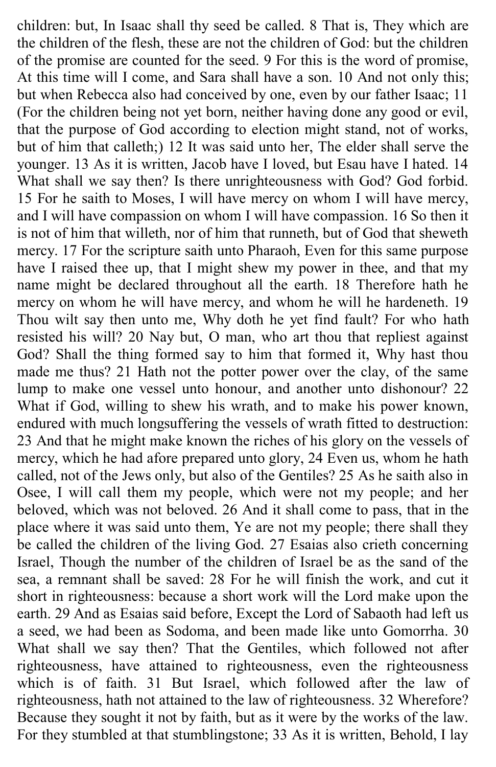children: but, In Isaac shall thy seed be called. 8 That is, They which are the children of the flesh, these are not the children of God: but the children of the promise are counted for the seed. 9 For this is the word of promise, At this time will I come, and Sara shall have a son. 10 And not only this; but when Rebecca also had conceived by one, even by our father Isaac; 11 (For the children being not yet born, neither having done any good or evil, that the purpose of God according to election might stand, not of works, but of him that calleth;) 12 It was said unto her, The elder shall serve the younger. 13 As it is written, Jacob have I loved, but Esau have I hated. 14 What shall we say then? Is there unrighteousness with God? God forbid. 15 For he saith to Moses, I will have mercy on whom I will have mercy, and I will have compassion on whom I will have compassion. 16 So then it is not of him that willeth, nor of him that runneth, but of God that sheweth mercy. 17 For the scripture saith unto Pharaoh, Even for this same purpose have I raised thee up, that I might shew my power in thee, and that my name might be declared throughout all the earth. 18 Therefore hath he mercy on whom he will have mercy, and whom he will he hardeneth. 19 Thou wilt say then unto me, Why doth he yet find fault? For who hath resisted his will? 20 Nay but, O man, who art thou that repliest against God? Shall the thing formed say to him that formed it, Why hast thou made me thus? 21 Hath not the potter power over the clay, of the same lump to make one vessel unto honour, and another unto dishonour? 22 What if God, willing to shew his wrath, and to make his power known, endured with much longsuffering the vessels of wrath fitted to destruction: 23 And that he might make known the riches of his glory on the vessels of mercy, which he had afore prepared unto glory, 24 Even us, whom he hath called, not of the Jews only, but also of the Gentiles? 25 As he saith also in Osee, I will call them my people, which were not my people; and her beloved, which was not beloved. 26 And it shall come to pass, that in the place where it was said unto them, Ye are not my people; there shall they be called the children of the living God. 27 Esaias also crieth concerning Israel, Though the number of the children of Israel be as the sand of the sea, a remnant shall be saved: 28 For he will finish the work, and cut it short in righteousness: because a short work will the Lord make upon the earth. 29 And as Esaias said before, Except the Lord of Sabaoth had left us a seed, we had been as Sodoma, and been made like unto Gomorrha. 30 What shall we say then? That the Gentiles, which followed not after righteousness, have attained to righteousness, even the righteousness which is of faith. 31 But Israel, which followed after the law of righteousness, hath not attained to the law of righteousness. 32 Wherefore? Because they sought it not by faith, but as it were by the works of the law. For they stumbled at that stumblingstone; 33 As it is written, Behold, I lay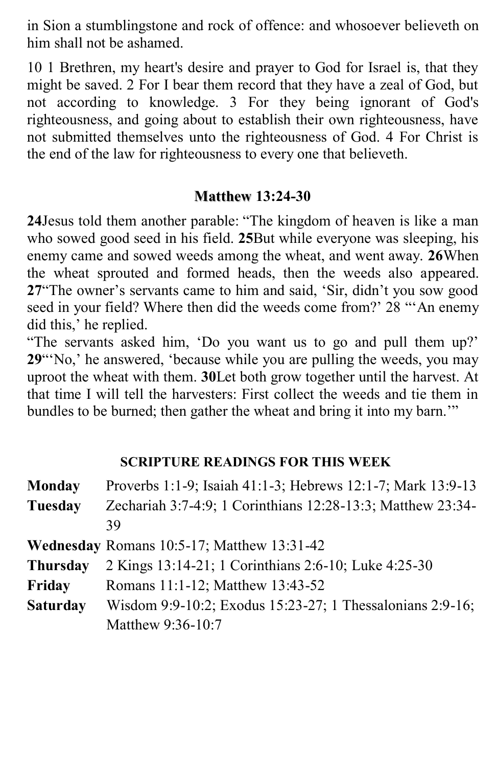in Sion a stumblingstone and rock of offence: and whosoever believeth on him shall not be ashamed.

10 1 Brethren, my heart's desire and prayer to God for Israel is, that they might be saved. 2 For I bear them record that they have a zeal of God, but not according to knowledge. 3 For they being ignorant of God's righteousness, and going about to establish their own righteousness, have not submitted themselves unto the righteousness of God. 4 For Christ is the end of the law for righteousness to every one that believeth.

## **Matthew 13:24-30**

**24**Jesus told them another parable: "The kingdom of heaven is like a man who sowed good seed in his field. **25**But while everyone was sleeping, his enemy came and sowed weeds among the wheat, and went away. **26**When the wheat sprouted and formed heads, then the weeds also appeared. **27**"The owner's servants came to him and said, 'Sir, didn't you sow good seed in your field? Where then did the weeds come from?' 28 "'An enemy did this,' he replied.

"The servants asked him, 'Do you want us to go and pull them up?' **29**"'No,' he answered, 'because while you are pulling the weeds, you may uproot the wheat with them. **30**Let both grow together until the harvest. At that time I will tell the harvesters: First collect the weeds and tie them in bundles to be burned; then gather the wheat and bring it into my barn.'"

## **SCRIPTURE READINGS FOR THIS WEEK**

| <b>Monday</b>   | Proverbs 1:1-9; Isaiah 41:1-3; Hebrews 12:1-7; Mark 13:9-13 |  |
|-----------------|-------------------------------------------------------------|--|
| Tuesday         | Zechariah 3:7-4:9; 1 Corinthians 12:28-13:3; Matthew 23:34- |  |
|                 | 39                                                          |  |
|                 | Wednesday Romans 10:5-17; Matthew 13:31-42                  |  |
| <b>Thursday</b> | 2 Kings 13:14-21; 1 Corinthians 2:6-10; Luke 4:25-30        |  |
| Friday          | Romans 11:1-12; Matthew 13:43-52                            |  |
| <b>Saturday</b> | Wisdom 9:9-10:2; Exodus 15:23-27; 1 Thessalonians 2:9-16;   |  |
|                 | Matthew 9:36-10:7                                           |  |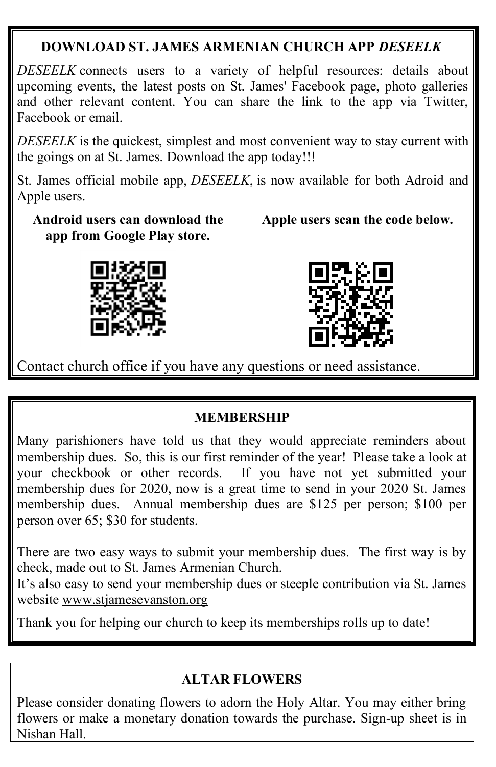## **DOWNLOAD ST. JAMES ARMENIAN CHURCH APP** *DESEELK*

*DESEELK* connects users to a variety of helpful resources: details about upcoming events, the latest posts on St. James' Facebook page, photo galleries and other relevant content. You can share the link to the app via Twitter, Facebook or email.

*DESEELK* is the quickest, simplest and most convenient way to stay current with the goings on at St. James. Download the app today!!!

St. James official mobile app, *DESEELK*, is now available for both Adroid and Apple users.

**Android users can download the app from Google Play store.**

 **Apple users scan the code below.**





Contact church office if you have any questions or need assistance.

#### **MEMBERSHIP**

Many parishioners have told us that they would appreciate reminders about membership dues. So, this is our first reminder of the year! Please take a look at your checkbook or other records. If you have not yet submitted your membership dues for 2020, now is a great time to send in your 2020 St. James membership dues. Annual membership dues are \$125 per person; \$100 per person over 65; \$30 for students.

There are two easy ways to submit your membership dues. The first way is by check, made out to St. James Armenian Church.

It's also easy to send your membership dues or steeple contribution via St. James website [www.stjamesevanston.org](http://www.stjamesevanston.org/)

Thank you for helping our church to keep its memberships rolls up to date!

## **ALTAR FLOWERS**

Please consider donating flowers to adorn the Holy Altar. You may either bring flowers or make a monetary donation towards the purchase. Sign-up sheet is in Nishan Hall.